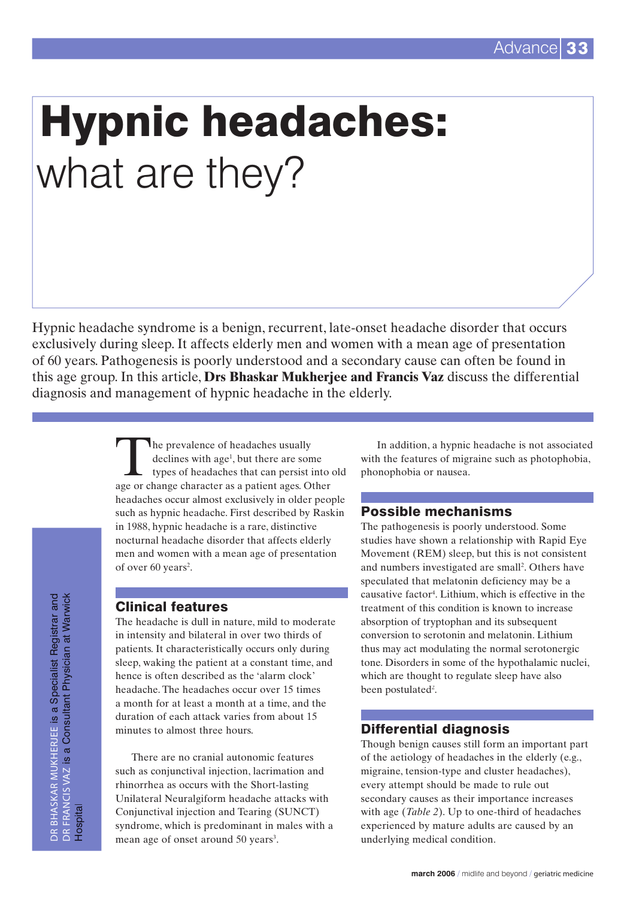# Hypnic headaches: what are they?

Hypnic headache syndrome is a benign, recurrent, late-onset headache disorder that occurs exclusively during sleep. It affects elderly men and women with a mean age of presentation of 60 years. Pathogenesis is poorly understood and a secondary cause can often be found in this age group. In this article, **Drs Bhaskar Mukherjee and Francis Vaz** discuss the differential diagnosis and management of hypnic headache in the elderly.

> The prevalence of headaches usually declines with age<sup>1</sup>, but there are some types of headaches that can persist into old age or change character as a patient ages. Other headaches occur almost exclusively in older people such as hypnic headache. First described by Raskin in 1988, hypnic headache is a rare, distinctive nocturnal headache disorder that affects elderly men and women with a mean age of presentation of over 60 years<sup>2</sup>.

# Clinical features

The headache is dull in nature, mild to moderate in intensity and bilateral in over two thirds of patients. It characteristically occurs only during sleep, waking the patient at a constant time, and hence is often described as the 'alarm clock' headache. The headaches occur over 15 times a month for at least a month at a time, and the duration of each attack varies from about 15 minutes to almost three hours.

There are no cranial autonomic features such as conjunctival injection, lacrimation and rhinorrhea as occurs with the Short-lasting Unilateral Neuralgiform headache attacks with Conjunctival injection and Tearing (SUNCT) syndrome, which is predominant in males with a mean age of onset around 50 years<sup>3</sup>.

In addition, a hypnic headache is not associated with the features of migraine such as photophobia, phonophobia or nausea.

# Possible mechanisms

The pathogenesis is poorly understood. Some studies have shown a relationship with Rapid Eye Movement (REM) sleep, but this is not consistent and numbers investigated are small<sup>2</sup>. Others have speculated that melatonin deficiency may be a causative factor4 . Lithium, which is effective in the treatment of this condition is known to increase absorption of tryptophan and its subsequent conversion to serotonin and melatonin. Lithium thus may act modulating the normal serotonergic tone. Disorders in some of the hypothalamic nuclei, which are thought to regulate sleep have also been postulated<sup>2</sup>.

# Differential diagnosis

Though benign causes still form an important part of the aetiology of headaches in the elderly (e.g., migraine, tension-type and cluster headaches), every attempt should be made to rule out secondary causes as their importance increases with age (*Table 2*). Up to one-third of headaches experienced by mature adults are caused by an underlying medical condition.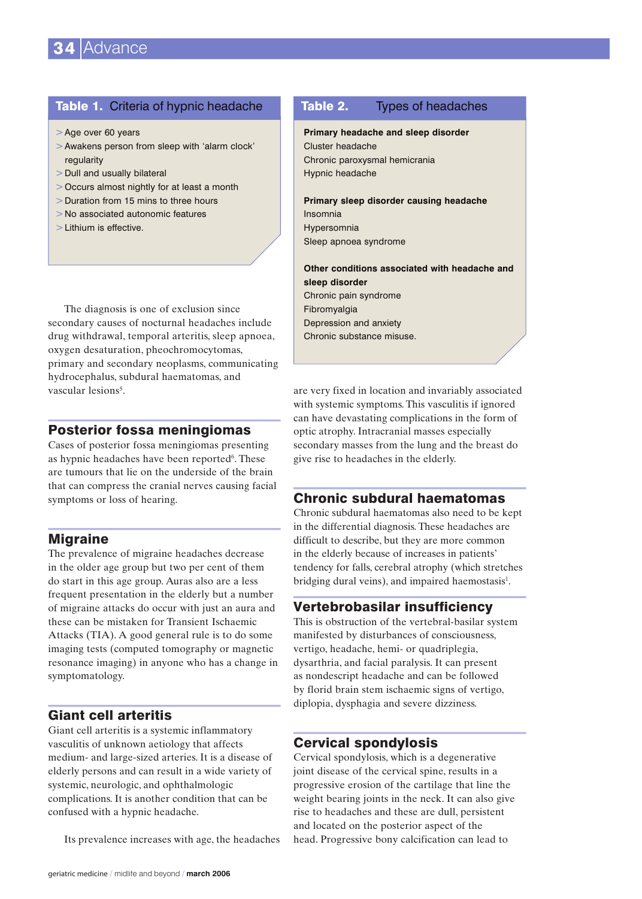#### Table 1. Criteria of hypnic headache

- >Age over 60 years
- >Awakens person from sleep with 'alarm clock' regularity
- > Dull and usually bilateral
- > Occurs almost nightly for at least a month
- > Duration from 15 mins to three hours
- > No associated autonomic features
- > Lithium is effective.

The diagnosis is one of exclusion since secondary causes of nocturnal headaches include drug withdrawal, temporal arteritis, sleep apnoea, oxygen desaturation, pheochromocytomas, primary and secondary neoplasms, communicating hydrocephalus, subdural haematomas, and vascular lesions<sup>5</sup>.

#### Posterior fossa meningiomas

Cases of posterior fossa meningiomas presenting as hypnic headaches have been reported<sup>6</sup>. These are tumours that lie on the underside of the brain that can compress the cranial nerves causing facial symptoms or loss of hearing.

# **Migraine**

The prevalence of migraine headaches decrease in the older age group but two per cent of them do start in this age group. Auras also are a less frequent presentation in the elderly but a number of migraine attacks do occur with just an aura and these can be mistaken for Transient Ischaemic Attacks (TIA). A good general rule is to do some imaging tests (computed tomography or magnetic resonance imaging) in anyone who has a change in symptomatology.

# Giant cell arteritis

Giant cell arteritis is a systemic inflammatory vasculitis of unknown aetiology that affects medium- and large-sized arteries. It is a disease of elderly persons and can result in a wide variety of systemic, neurologic, and ophthalmologic complications. It is another condition that can be confused with a hypnic headache.

Its prevalence increases with age, the headaches

# **Primary headache and sleep disorder** Cluster headache Chronic paroxysmal hemicrania Hypnic headache **Primary sleep disorder causing headache** Insomnia Hypersomnia Sleep apnoea syndrome **Other conditions associated with headache and sleep disorder** Table 2. Types of headaches

Chronic pain syndrome Fibromyalgia Depression and anxiety Chronic substance misuse.

are very fixed in location and invariably associated with systemic symptoms. This vasculitis if ignored can have devastating complications in the form of optic atrophy. Intracranial masses especially secondary masses from the lung and the breast do give rise to headaches in the elderly.

#### Chronic subdural haematomas

Chronic subdural haematomas also need to be kept in the differential diagnosis. These headaches are difficult to describe, but they are more common in the elderly because of increases in patients' tendency for falls, cerebral atrophy (which stretches bridging dural veins), and impaired haemostasis<sup>1</sup>.

# Vertebrobasilar insufficiency

This is obstruction of the vertebral-basilar system manifested by disturbances of consciousness, vertigo, headache, hemi- or quadriplegia, dysarthria, and facial paralysis. It can present as nondescript headache and can be followed by florid brain stem ischaemic signs of vertigo, diplopia, dysphagia and severe dizziness.

# Cervical spondylosis

Cervical spondylosis, which is a degenerative joint disease of the cervical spine, results in a progressive erosion of the cartilage that line the weight bearing joints in the neck. It can also give rise to headaches and these are dull, persistent and located on the posterior aspect of the head. Progressive bony calcification can lead to